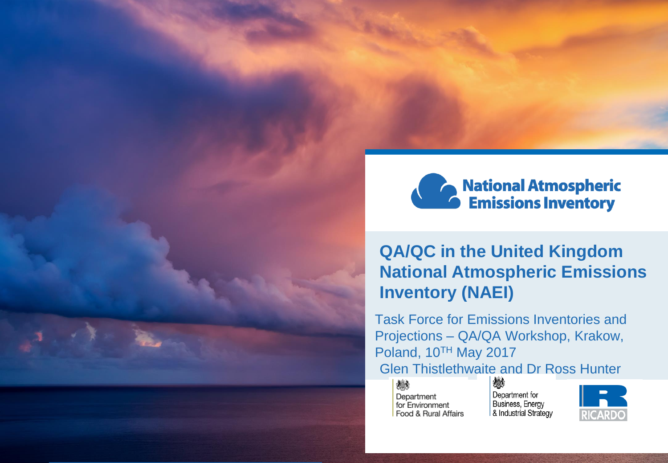



### **QA/QC in the United Kingdom National Atmospheric Emissions Inventory (NAEI)**

Task Force for Emissions Inventories and Projections – QA/QA Workshop, Krakow, Poland, 10TH May 2017 **Glen Thistlethwaite and Dr Ross Hunter** 

大き Department for Environment Food & Rural Affairs

Department for Business, Energy & Industrial Strategy

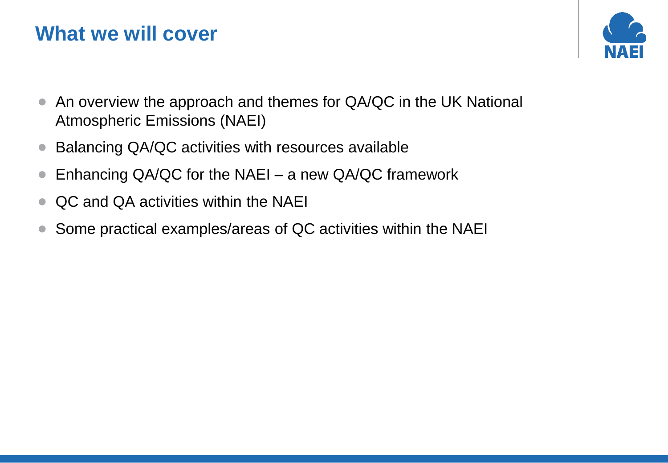# **What we will cover**



- An overview the approach and themes for QA/QC in the UK National Atmospheric Emissions (NAEI)
- Balancing QA/QC activities with resources available
- Enhancing QA/QC for the NAEI a new QA/QC framework
- QC and QA activities within the NAEI
- Some practical examples/areas of QC activities within the NAEI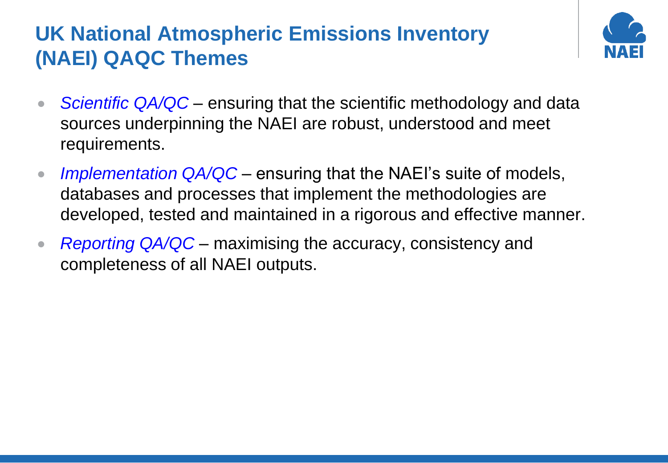# **UK National Atmospheric Emissions Inventory (NAEI) QAQC Themes**



- *Scientific QA/QC* ensuring that the scientific methodology and data sources underpinning the NAEI are robust, understood and meet requirements.
- *Implementation QA/QC* ensuring that the NAEI's suite of models, databases and processes that implement the methodologies are developed, tested and maintained in a rigorous and effective manner.
- *Reporting QA/QC* maximising the accuracy, consistency and completeness of all NAEI outputs.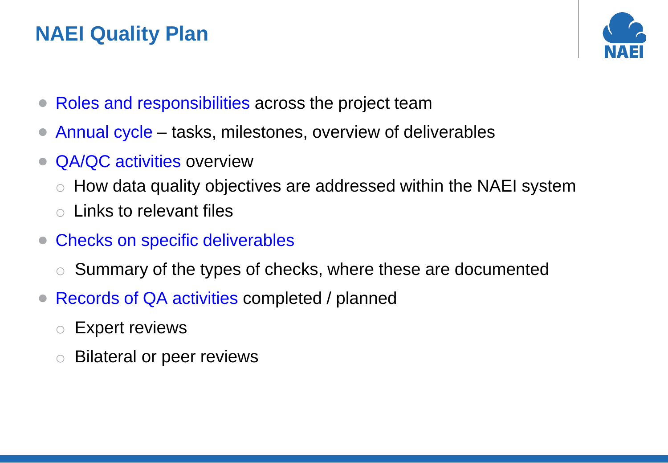# **NAEI Quality Plan**



- Roles and responsibilities across the project team
- Annual cycle tasks, milestones, overview of deliverables
- QA/QC activities overview
	- o How data quality objectives are addressed within the NAEI system
	- o Links to relevant files
- Checks on specific deliverables
	- Summary of the types of checks, where these are documented
- Records of QA activities completed / planned
	- o Expert reviews
	- **Bilateral or peer reviews**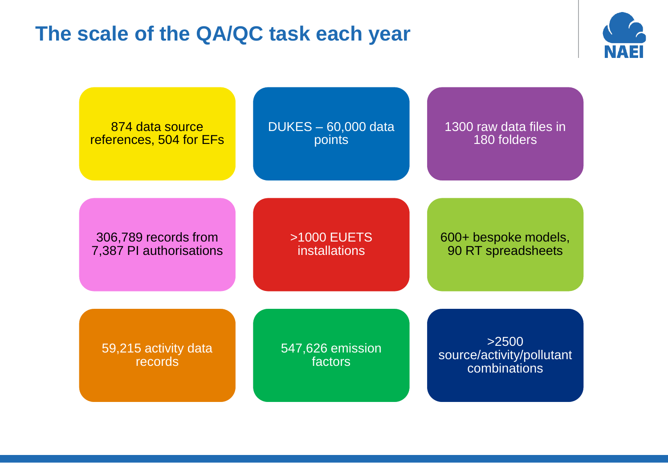# **The scale of the QA/QC task each year**



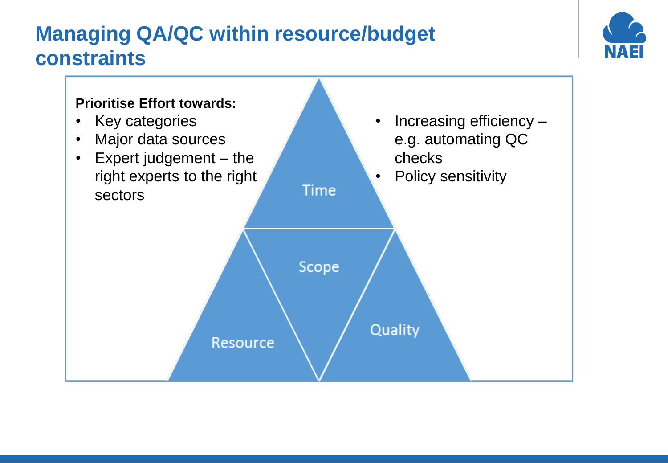# **Managing QA/QC within resource/budget constraints**



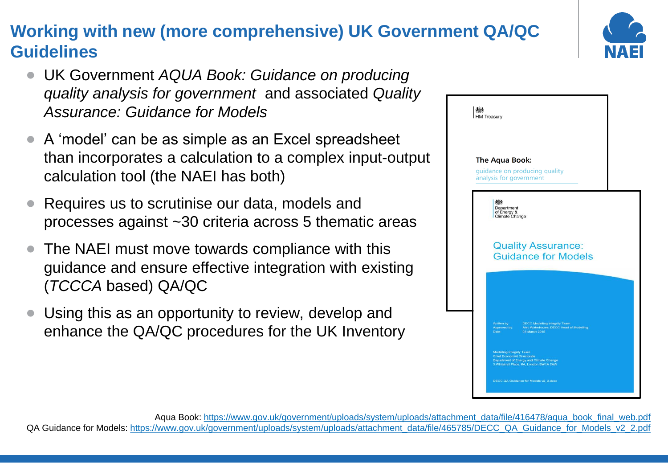## **Working with new (more comprehensive) UK Government QA/QC Guidelines**

- UK Government *AQUA Book: Guidance on producing quality analysis for government* and associated *Quality Assurance: Guidance for Models*
- A 'model' can be as simple as an Excel spreadsheet than incorporates a calculation to a complex input-output calculation tool (the NAEI has both)
- Requires us to scrutinise our data, models and processes against ~30 criteria across 5 thematic areas
- The NAEI must move towards compliance with this guidance and ensure effective integration with existing (*TCCCA* based) QA/QC
- Using this as an opportunity to review, develop and enhance the QA/QC procedures for the UK Inventory



#### Aqua Book: [https://www.gov.uk/government/uploads/system/uploads/attachment\\_data/file/416478/aqua\\_book\\_final\\_web.pdf](https://www.gov.uk/government/uploads/system/uploads/attachment_data/file/416478/aqua_book_final_web.pdf) QA Guidance for Models: [https://www.gov.uk/government/uploads/system/uploads/attachment\\_data/file/465785/DECC\\_QA\\_Guidance\\_for\\_Models\\_v2\\_2.pdf](https://www.gov.uk/government/uploads/system/uploads/attachment_data/file/465785/DECC_QA_Guidance_for_Models_v2_2.pdf)

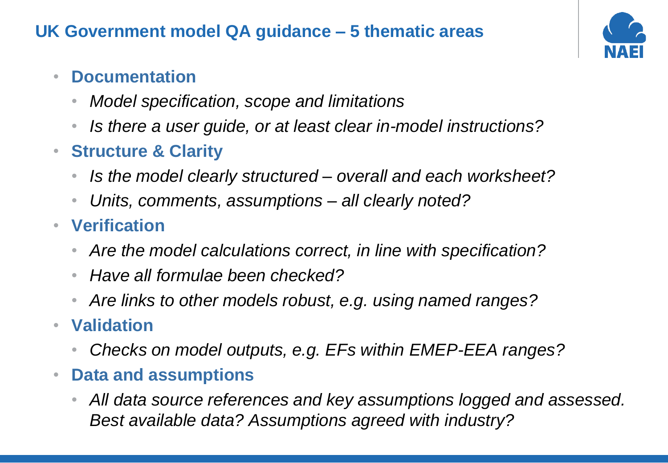## **UK Government model QA guidance – 5 thematic areas**



## • **Documentation**

- *Model specification, scope and limitations*
- *Is there a user guide, or at least clear in-model instructions?*
- **Structure & Clarity**
	- *Is the model clearly structured – overall and each worksheet?*
	- *Units, comments, assumptions – all clearly noted?*
- **Verification**
	- *Are the model calculations correct, in line with specification?*
	- *Have all formulae been checked?*
	- *Are links to other models robust, e.g. using named ranges?*
- **Validation**
	- *Checks on model outputs, e.g. EFs within EMEP-EEA ranges?*
- **Data and assumptions**
	- *All data source references and key assumptions logged and assessed. Best available data? Assumptions agreed with industry?*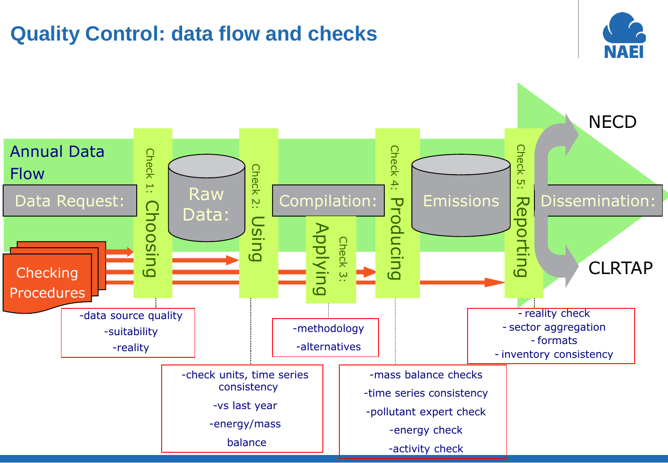# **Quality Control: data flow and checks**



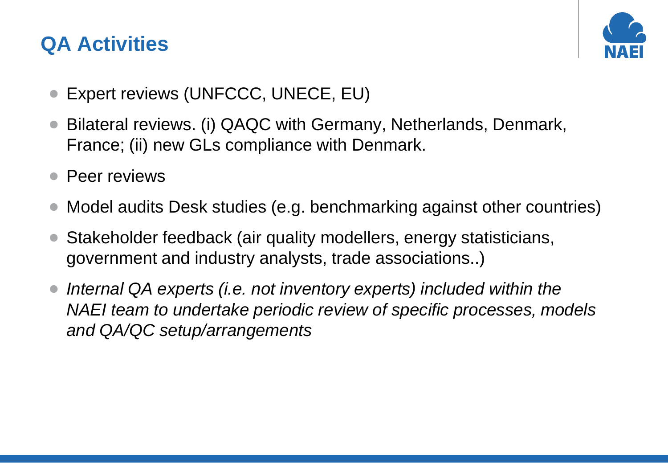# **QA Activities**



- Expert reviews (UNFCCC, UNECE, EU)
- Bilateral reviews. (i) QAQC with Germany, Netherlands, Denmark, France; (ii) new GLs compliance with Denmark.
- Peer reviews
- Model audits Desk studies (e.g. benchmarking against other countries)
- Stakeholder feedback (air quality modellers, energy statisticians, government and industry analysts, trade associations..)
- *Internal QA experts (i.e. not inventory experts) included within the NAEI team to undertake periodic review of specific processes, models and QA/QC setup/arrangements*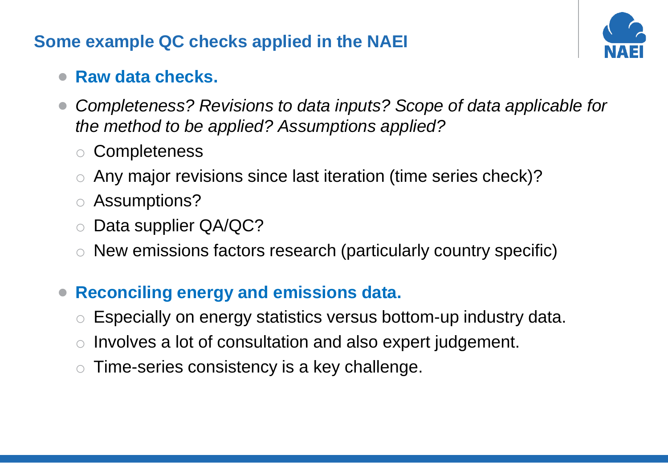#### **Some example QC checks applied in the NAEI**



#### • **Raw data checks.**

- *Completeness? Revisions to data inputs? Scope of data applicable for the method to be applied? Assumptions applied?*
	- o Completeness
	- o Any major revisions since last iteration (time series check)?
	- o Assumptions?
	- o Data supplier QA/QC?
	- o New emissions factors research (particularly country specific)
- **Reconciling energy and emissions data.** 
	- Especially on energy statistics versus bottom-up industry data.
	- Involves a lot of consultation and also expert judgement.
	- Time-series consistency is a key challenge.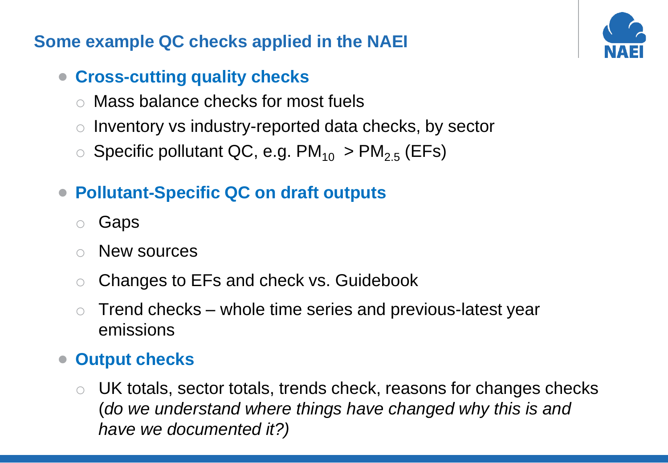### **Some example QC checks applied in the NAEI**

## • **Cross-cutting quality checks**

- o Mass balance checks for most fuels
- Inventory vs industry-reported data checks, by sector
- $\circ$  Specific pollutant QC, e.g. PM<sub>10</sub> > PM<sub>2.5</sub> (EFs)

## • **Pollutant-Specific QC on draft outputs**

- Gaps
- New sources
- o Changes to EFs and check vs. Guidebook
- $\circ$  Trend checks whole time series and previous-latest year emissions

### • **Output checks**

o UK totals, sector totals, trends check, reasons for changes checks (*do we understand where things have changed why this is and have we documented it?)*